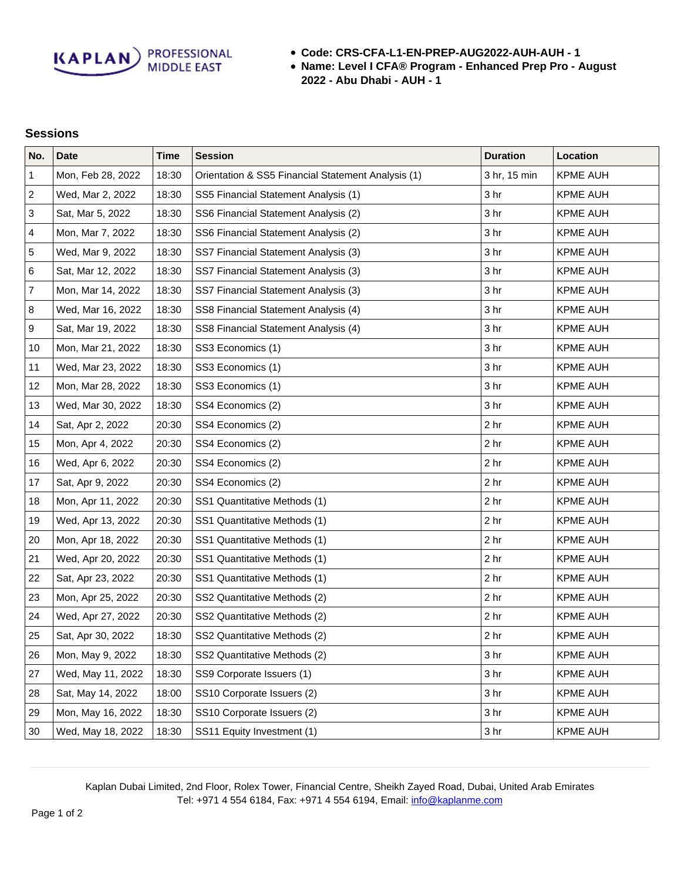**KAPLAN** PROFESSIONAL

- **Code: CRS-CFA-L1-EN-PREP-AUG2022-AUH-AUH 1**
- **Name: Level I CFA® Program Enhanced Prep Pro August 2022 - Abu Dhabi - AUH - 1**

## **Sessions**

| No.              | <b>Date</b>       | <b>Time</b> | <b>Session</b>                                     | <b>Duration</b> | Location        |
|------------------|-------------------|-------------|----------------------------------------------------|-----------------|-----------------|
| 1                | Mon, Feb 28, 2022 | 18:30       | Orientation & SS5 Financial Statement Analysis (1) | 3 hr, 15 min    | <b>KPME AUH</b> |
| $\sqrt{2}$       | Wed, Mar 2, 2022  | 18:30       | SS5 Financial Statement Analysis (1)               | 3 hr            | <b>KPME AUH</b> |
| 3                | Sat, Mar 5, 2022  | 18:30       | SS6 Financial Statement Analysis (2)               | 3 <sub>hr</sub> | <b>KPME AUH</b> |
| 4                | Mon, Mar 7, 2022  | 18:30       | SS6 Financial Statement Analysis (2)               | 3 hr            | <b>KPME AUH</b> |
| 5                | Wed, Mar 9, 2022  | 18:30       | SS7 Financial Statement Analysis (3)               | 3 hr            | <b>KPME AUH</b> |
| 6                | Sat, Mar 12, 2022 | 18:30       | SS7 Financial Statement Analysis (3)               | 3 <sub>hr</sub> | KPME AUH        |
| $\overline{7}$   | Mon, Mar 14, 2022 | 18:30       | SS7 Financial Statement Analysis (3)               | 3 hr            | <b>KPME AUH</b> |
| 8                | Wed, Mar 16, 2022 | 18:30       | SS8 Financial Statement Analysis (4)               | 3 <sub>hr</sub> | <b>KPME AUH</b> |
| $\boldsymbol{9}$ | Sat, Mar 19, 2022 | 18:30       | SS8 Financial Statement Analysis (4)               | 3 <sub>hr</sub> | <b>KPME AUH</b> |
| 10               | Mon, Mar 21, 2022 | 18:30       | SS3 Economics (1)                                  | 3 hr            | <b>KPME AUH</b> |
| 11               | Wed, Mar 23, 2022 | 18:30       | SS3 Economics (1)                                  | 3 hr            | KPME AUH        |
| 12               | Mon, Mar 28, 2022 | 18:30       | SS3 Economics (1)                                  | 3 hr            | <b>KPME AUH</b> |
| 13               | Wed, Mar 30, 2022 | 18:30       | SS4 Economics (2)                                  | 3 hr            | <b>KPME AUH</b> |
| 14               | Sat, Apr 2, 2022  | 20:30       | SS4 Economics (2)                                  | 2 <sub>hr</sub> | KPME AUH        |
| 15               | Mon, Apr 4, 2022  | 20:30       | SS4 Economics (2)                                  | 2 <sub>hr</sub> | <b>KPME AUH</b> |
| 16               | Wed, Apr 6, 2022  | 20:30       | SS4 Economics (2)                                  | 2 <sub>hr</sub> | <b>KPME AUH</b> |
| 17               | Sat, Apr 9, 2022  | 20:30       | SS4 Economics (2)                                  | 2 <sub>hr</sub> | <b>KPME AUH</b> |
| 18               | Mon, Apr 11, 2022 | 20:30       | SS1 Quantitative Methods (1)                       | 2 <sub>hr</sub> | <b>KPME AUH</b> |
| 19               | Wed, Apr 13, 2022 | 20:30       | SS1 Quantitative Methods (1)                       | 2 <sub>hr</sub> | <b>KPME AUH</b> |
| 20               | Mon, Apr 18, 2022 | 20:30       | SS1 Quantitative Methods (1)                       | 2 <sub>hr</sub> | <b>KPME AUH</b> |
| 21               | Wed, Apr 20, 2022 | 20:30       | SS1 Quantitative Methods (1)                       | 2 <sub>hr</sub> | <b>KPME AUH</b> |
| 22               | Sat, Apr 23, 2022 | 20:30       | SS1 Quantitative Methods (1)                       | 2 <sub>hr</sub> | <b>KPME AUH</b> |
| 23               | Mon, Apr 25, 2022 | 20:30       | SS2 Quantitative Methods (2)                       | 2 <sub>hr</sub> | KPME AUH        |
| 24               | Wed, Apr 27, 2022 | 20:30       | SS2 Quantitative Methods (2)                       | 2 <sub>hr</sub> | <b>KPME AUH</b> |
| 25               | Sat, Apr 30, 2022 | 18:30       | SS2 Quantitative Methods (2)                       | 2 <sub>hr</sub> | <b>KPME AUH</b> |
| 26               | Mon, May 9, 2022  | 18:30       | SS2 Quantitative Methods (2)                       | 3 <sub>hr</sub> | <b>KPME AUH</b> |
| 27               | Wed, May 11, 2022 | 18:30       | SS9 Corporate Issuers (1)                          | 3 <sub>hr</sub> | <b>KPME AUH</b> |
| 28               | Sat, May 14, 2022 | 18:00       | SS10 Corporate Issuers (2)                         | 3 hr            | <b>KPME AUH</b> |
| 29               | Mon, May 16, 2022 | 18:30       | SS10 Corporate Issuers (2)                         | 3 <sub>hr</sub> | <b>KPME AUH</b> |
| 30               | Wed, May 18, 2022 | 18:30       | SS11 Equity Investment (1)                         | 3 <sub>hr</sub> | KPME AUH        |

Kaplan Dubai Limited, 2nd Floor, Rolex Tower, Financial Centre, Sheikh Zayed Road, Dubai, United Arab Emirates Tel: +971 4 554 6184, Fax: +971 4 554 6194, Email: [info@kaplanme.com](mailto:info@kaplanme.com)